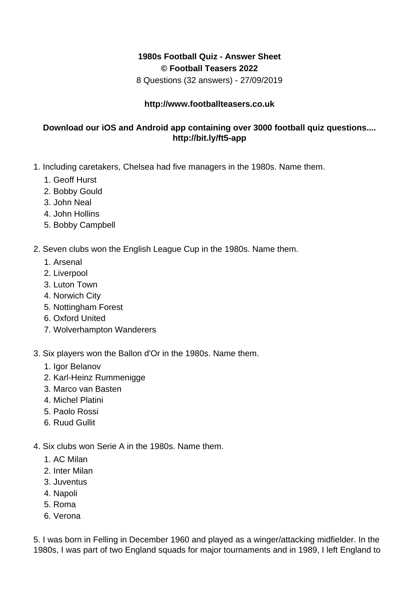## **1980s Football Quiz - Answer Sheet © Football Teasers 2022**

8 Questions (32 answers) - 27/09/2019

## **http://www.footballteasers.co.uk**

## **Download our iOS and Android app containing over 3000 football quiz questions.... http://bit.ly/ft5-app**

- 1. Including caretakers, Chelsea had five managers in the 1980s. Name them.
	- 1. Geoff Hurst
	- 2. Bobby Gould
	- 3. John Neal
	- 4. John Hollins
	- 5. Bobby Campbell
- 2. Seven clubs won the English League Cup in the 1980s. Name them.
	- 1. Arsenal
	- 2. Liverpool
	- 3. Luton Town
	- 4. Norwich City
	- 5. Nottingham Forest
	- 6. Oxford United
	- 7. Wolverhampton Wanderers
- 3. Six players won the Ballon d'Or in the 1980s. Name them.
	- 1. Igor Belanov
	- 2. Karl-Heinz Rummenigge
	- 3. Marco van Basten
	- 4. Michel Platini
	- 5. Paolo Rossi
	- 6. Ruud Gullit
- 4. Six clubs won Serie A in the 1980s. Name them.
	- 1. AC Milan
	- 2. Inter Milan
	- 3. Juventus
	- 4. Napoli
	- 5. Roma
	- 6. Verona

5. I was born in Felling in December 1960 and played as a winger/attacking midfielder. In the 1980s, I was part of two England squads for major tournaments and in 1989, I left England to